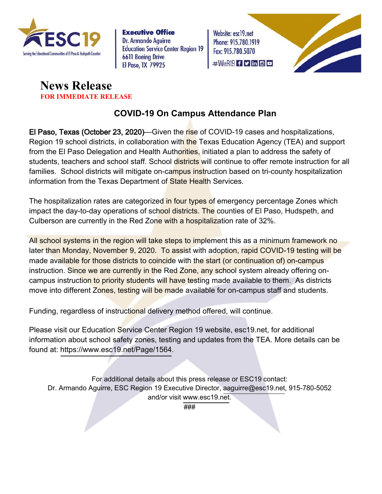

**Executive Office Dr. Armando Aguirre Education Service Center Region 19 6611 Boeing Drive El Paso, TX 79925** 

Website: esc19.net Phone: 915.780.1919 Fax: 915.780.5070  $\#$ WeR19 f y in c o





### **COVID-19 On Campus Attendance Plan**

El Paso, Texas (October 23, 2020)—Given the rise of COVID-19 cases and hospitalizations, Region 19 school districts, in collaboration with the Texas Education Agency (TEA) and support from the El Paso Delegation and Health Authorities, initiated a plan to address the safety of students, teachers and school staff. School districts will continue to offer remote instruction for all families. School districts will mitigate on-campus instruction based on tri-county hospitalization information from the Texas Department of State Health Services.

The hospitalization rates are categorized in four types of emergency percentage Zones which impact the day-to-day operations of school districts. The counties of El Paso, Hudspeth, and Culberson are currently in the Red Zone with a hospitalization rate of 32%.

All school systems in the region will take steps to implement this as a minimum framework no later than Monday, November 9, 2020. To assist with adoption, rapid COVID-19 testing will be made available for those districts to coincide with the start (or continuation of) on-campus instruction. Since we are currently in the Red Zone, any school system already offering oncampus instruction to priority students will have testing made available to them. As districts move into different Zones, testing will be made available for on-campus staff and students.

Funding, regardless of instructional delivery method offered, will continue.

Please visit our Education Service Center Region 19 website, esc19.net, for additional information about school safety zones, testing and updates from the TEA. More details can be found at: https://www.esc19.net/Page/1564.

For additional details about this press release or ESC19 contact: Dr. Armando Aguirre, ESC Region 19 Executive Director, aaguirre@esc19.net, 915-780-5052 and/or visit www.esc19.net.

###